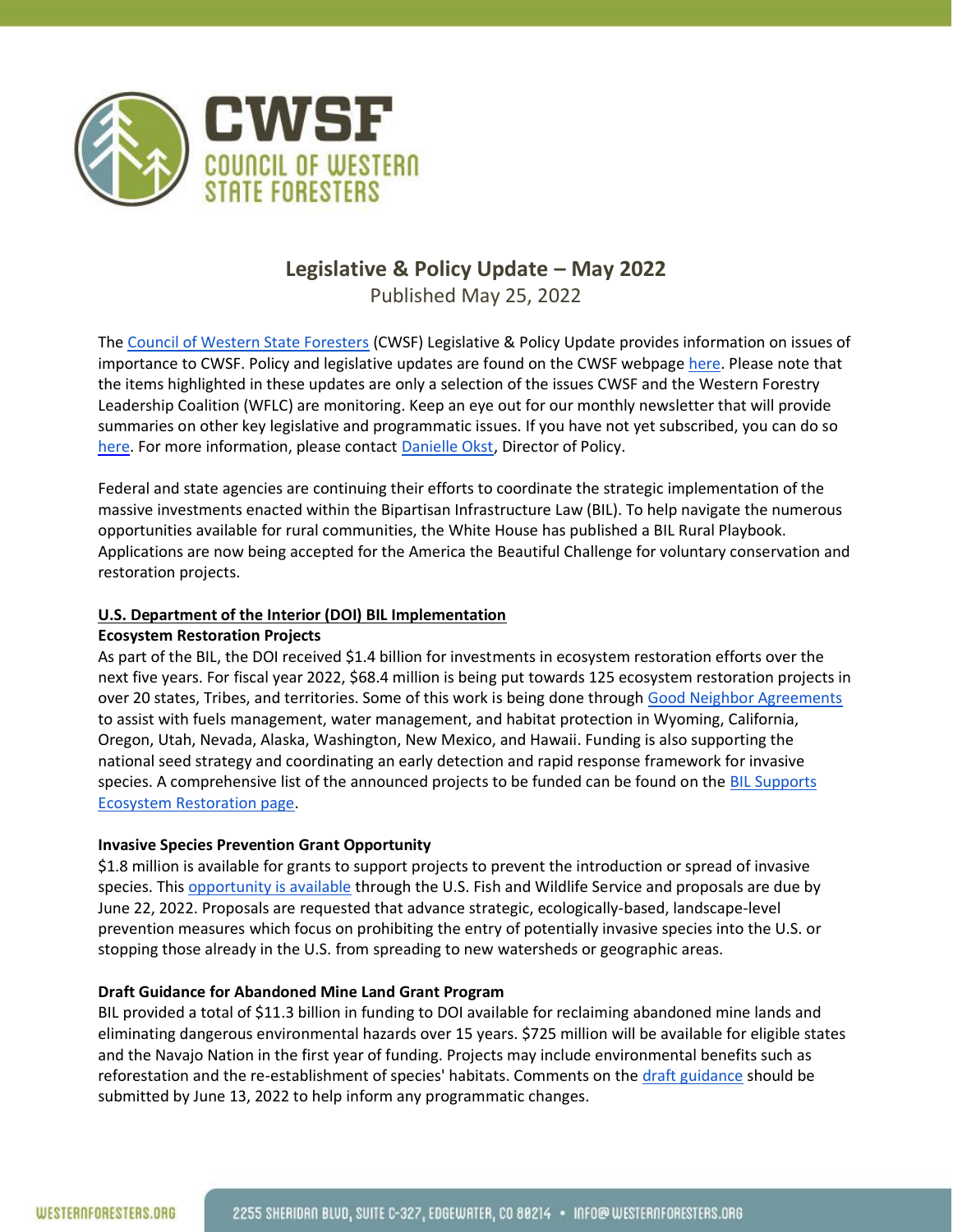

# **Legislative & Policy Update – May 2022**

Published May 25, 2022

The [Council of Western State Foresters](http://www.westernforesters.org/) (CWSF) Legislative & Policy Update provides information on issues of importance to CWSF. Policy and legislative updates are found on the CWSF webpage [here.](http://www.westernforesters.org/publications) Please note that the items highlighted in these updates are only a selection of the issues CWSF and the Western Forestry Leadership Coalition (WFLC) are monitoring. Keep an eye out for our monthly newsletter that will provide summaries on other key legislative and programmatic issues. If you have not yet subscribed, you can do so [here.](https://visitor.r20.constantcontact.com/manage/optin?v=001Nii7RMcJiLBYyBJwFcDfZ1SFHMSJgi-exm1Yw_QVlX04m9R3_S8mtUz8lKuvPp5cb4D2lBJjraX6VHl_oQ3KD6kOwfw4rh5eWs_J8aOBoPw%3D) For more information, please contact [Danielle Okst,](mailto:dokst@westernforesters.org) Director of Policy.

Federal and state agencies are continuing their efforts to coordinate the strategic implementation of the massive investments enacted within the Bipartisan Infrastructure Law (BIL). To help navigate the numerous opportunities available for rural communities, the White House has published a BIL Rural Playbook. Applications are now being accepted for the America the Beautiful Challenge for voluntary conservation and restoration projects.

## **U.S. Department of the Interior (DOI) BIL Implementation**

### **Ecosystem Restoration Projects**

As part of the BIL, the DOI received \$1.4 billion for investments in ecosystem restoration efforts over the next five years. For fiscal year 2022, \$68.4 million is being put towards 125 ecosystem restoration projects in over 20 states, Tribes, and territories. Some of this work is being done through [Good Neighbor Agreements](https://www.thewflc.org/partnerships/gna-information-and-resources) to assist with fuels management, water management, and habitat protection in Wyoming, California, Oregon, Utah, Nevada, Alaska, Washington, New Mexico, and Hawaii. Funding is also supporting the national seed strategy and coordinating an early detection and rapid response framework for invasive species. A comprehensive list of the announced projects to be funded can be found on the BIL Supports [Ecosystem Restoration page.](https://www.doi.gov/priorities/investing-americas-infrastructure/ecosystem-restoration/projects)

### **Invasive Species Prevention Grant Opportunity**

\$1.8 million is available for grants to support projects to prevent the introduction or spread of invasive species. This [opportunity is available](https://www.grants.gov/web/grants/search-grants.html?keywords=f22as00320) through the U.S. Fish and Wildlife Service and proposals are due by June 22, 2022. Proposals are requested that advance strategic, ecologically-based, landscape-level prevention measures which focus on prohibiting the entry of potentially invasive species into the U.S. or stopping those already in the U.S. from spreading to new watersheds or geographic areas.

### **Draft Guidance for Abandoned Mine Land Grant Program**

BIL provided a total of \$11.3 billion in funding to DOI available for reclaiming abandoned mine lands and eliminating dangerous environmental hazards over 15 years. \$725 million will be available for eligible states and the Navajo Nation in the first year of funding. Projects may include environmental benefits such as reforestation and the re-establishment of species' habitats. Comments on th[e draft guidance](https://www.doi.gov/sites/doi.gov/files/bil-aml-guidance.pdf) should be submitted by June 13, 2022 to help inform any programmatic changes.